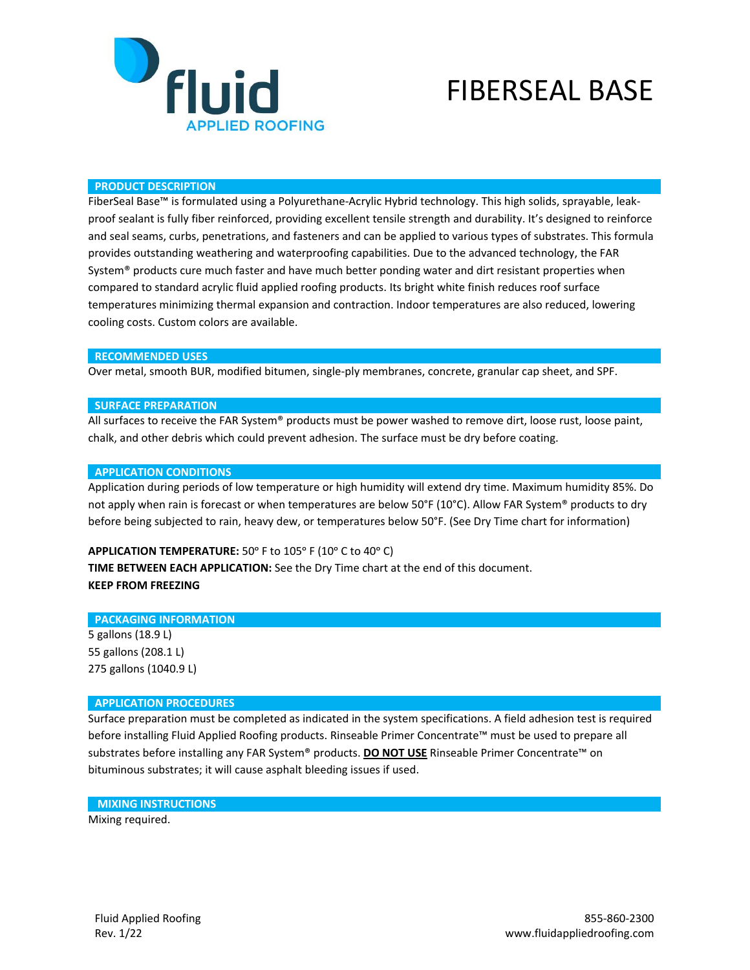

# FIBERSEAL BASE

#### **PRODUCT DESCRIPTION**

FiberSeal Base™ is formulated using a Polyurethane-Acrylic Hybrid technology. This high solids, sprayable, leakproof sealant is fully fiber reinforced, providing excellent tensile strength and durability. It's designed to reinforce and seal seams, curbs, penetrations, and fasteners and can be applied to various types of substrates. This formula provides outstanding weathering and waterproofing capabilities. Due to the advanced technology, the FAR System® products cure much faster and have much better ponding water and dirt resistant properties when compared to standard acrylic fluid applied roofing products. Its bright white finish reduces roof surface temperatures minimizing thermal expansion and contraction. Indoor temperatures are also reduced, lowering cooling costs. Custom colors are available.

#### **RECOMMENDED USES**

Over metal, smooth BUR, modified bitumen, single-ply membranes, concrete, granular cap sheet, and SPF.

### **SURFACE PREPARATION**

All surfaces to receive the FAR System® products must be power washed to remove dirt, loose rust, loose paint, chalk, and other debris which could prevent adhesion. The surface must be dry before coating.

#### **APPLICATION CONDITIONS**

Application during periods of low temperature or high humidity will extend dry time. Maximum humidity 85%. Do not apply when rain is forecast or when temperatures are below 50°F (10°C). Allow FAR System® products to dry before being subjected to rain, heavy dew, or temperatures below 50°F. (See Dry Time chart for information)

# APPLICATION TEMPERATURE: 50° F to 105° F (10° C to 40° C)

**TIME BETWEEN EACH APPLICATION:** See the Dry Time chart at the end of this document. **KEEP FROM FREEZING**

### **PACKAGING INFORMATION**

5 gallons (18.9 L) 55 gallons (208.1 L) 275 gallons (1040.9 L)

### **APPLICATION PROCEDURES**

Surface preparation must be completed as indicated in the system specifications. A field adhesion test is required before installing Fluid Applied Roofing products. Rinseable Primer Concentrate™ must be used to prepare all substrates before installing any FAR System® products. **DO NOT USE** Rinseable Primer Concentrate™ on bituminous substrates; it will cause asphalt bleeding issues if used.

### **MIXING INSTRUCTIONS**

Mixing required.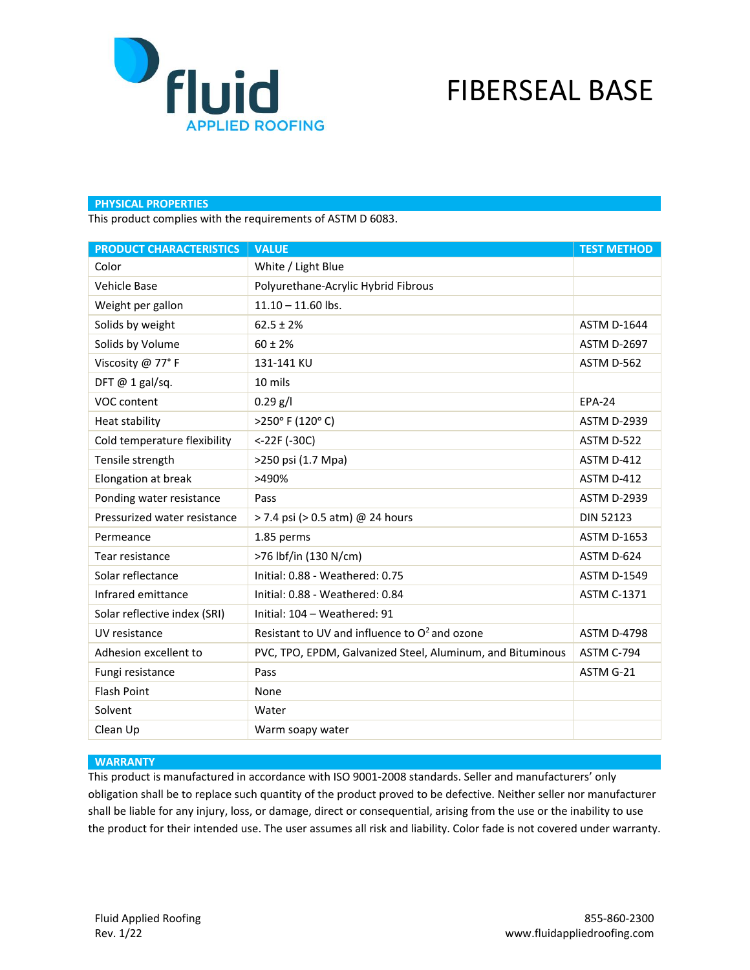

# FIBERSEAL BASE

# **PHYSICAL PROPERTIES**

This product complies with the requirements of ASTM D 6083.

| <b>PRODUCT CHARACTERISTICS</b> | <b>VALUE</b>                                               | <b>TEST METHOD</b> |
|--------------------------------|------------------------------------------------------------|--------------------|
| Color                          | White / Light Blue                                         |                    |
| Vehicle Base                   | Polyurethane-Acrylic Hybrid Fibrous                        |                    |
| Weight per gallon              | $11.10 - 11.60$ lbs.                                       |                    |
| Solids by weight               | $62.5 \pm 2%$                                              | <b>ASTM D-1644</b> |
| Solids by Volume               | $60 \pm 2\%$                                               | <b>ASTM D-2697</b> |
| Viscosity @ 77°F               | 131-141 KU                                                 | ASTM D-562         |
| DFT $@$ 1 gal/sq.              | 10 mils                                                    |                    |
| VOC content                    | $0.29$ g/l                                                 | <b>EPA-24</b>      |
| Heat stability                 | >250°F (120°C)                                             | <b>ASTM D-2939</b> |
| Cold temperature flexibility   | <-22F (-30C)                                               | ASTM D-522         |
| Tensile strength               | >250 psi (1.7 Mpa)                                         | ASTM D-412         |
| Elongation at break            | >490%                                                      | ASTM D-412         |
| Ponding water resistance       | Pass                                                       | <b>ASTM D-2939</b> |
| Pressurized water resistance   | > 7.4 psi (> 0.5 atm) @ 24 hours                           | <b>DIN 52123</b>   |
| Permeance                      | 1.85 perms                                                 | <b>ASTM D-1653</b> |
| Tear resistance                | >76 lbf/in (130 N/cm)                                      | ASTM D-624         |
| Solar reflectance              | Initial: 0.88 - Weathered: 0.75                            | <b>ASTM D-1549</b> |
| Infrared emittance             | Initial: 0.88 - Weathered: 0.84                            | <b>ASTM C-1371</b> |
| Solar reflective index (SRI)   | Initial: 104 - Weathered: 91                               |                    |
| UV resistance                  | Resistant to UV and influence to $O^2$ and ozone           | <b>ASTM D-4798</b> |
| Adhesion excellent to          | PVC, TPO, EPDM, Galvanized Steel, Aluminum, and Bituminous | ASTM C-794         |
| Fungi resistance               | Pass                                                       | ASTM G-21          |
| <b>Flash Point</b>             | None                                                       |                    |
| Solvent                        | Water                                                      |                    |
| Clean Up                       | Warm soapy water                                           |                    |

### **WARRANTY**

This product is manufactured in accordance with ISO 9001-2008 standards. Seller and manufacturers' only obligation shall be to replace such quantity of the product proved to be defective. Neither seller nor manufacturer shall be liable for any injury, loss, or damage, direct or consequential, arising from the use or the inability to use the product for their intended use. The user assumes all risk and liability. Color fade is not covered under warranty.